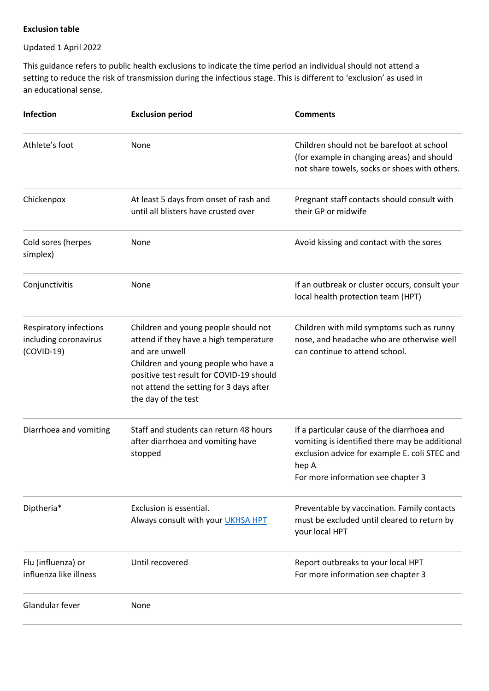## **Exclusion table**

## Updated 1 April 2022

This guidance refers to public health exclusions to indicate the time period an individual should not attend a setting to reduce the risk of transmission during the infectious stage. This is different to 'exclusion' as used in an educational sense.

| Infection                                                       | <b>Exclusion period</b>                                                                                                                                                                                                                                | <b>Comments</b>                                                                                                                                                                              |
|-----------------------------------------------------------------|--------------------------------------------------------------------------------------------------------------------------------------------------------------------------------------------------------------------------------------------------------|----------------------------------------------------------------------------------------------------------------------------------------------------------------------------------------------|
| Athlete's foot                                                  | None                                                                                                                                                                                                                                                   | Children should not be barefoot at school<br>(for example in changing areas) and should<br>not share towels, socks or shoes with others.                                                     |
| Chickenpox                                                      | At least 5 days from onset of rash and<br>until all blisters have crusted over                                                                                                                                                                         | Pregnant staff contacts should consult with<br>their GP or midwife                                                                                                                           |
| Cold sores (herpes<br>simplex)                                  | None                                                                                                                                                                                                                                                   | Avoid kissing and contact with the sores                                                                                                                                                     |
| Conjunctivitis                                                  | None                                                                                                                                                                                                                                                   | If an outbreak or cluster occurs, consult your<br>local health protection team (HPT)                                                                                                         |
| Respiratory infections<br>including coronavirus<br>$(COVID-19)$ | Children and young people should not<br>attend if they have a high temperature<br>and are unwell<br>Children and young people who have a<br>positive test result for COVID-19 should<br>not attend the setting for 3 days after<br>the day of the test | Children with mild symptoms such as runny<br>nose, and headache who are otherwise well<br>can continue to attend school.                                                                     |
| Diarrhoea and vomiting                                          | Staff and students can return 48 hours<br>after diarrhoea and vomiting have<br>stopped                                                                                                                                                                 | If a particular cause of the diarrhoea and<br>vomiting is identified there may be additional<br>exclusion advice for example E. coli STEC and<br>hep A<br>For more information see chapter 3 |
| Diptheria*                                                      | Exclusion is essential.<br>Always consult with your UKHSA HPT                                                                                                                                                                                          | Preventable by vaccination. Family contacts<br>must be excluded until cleared to return by<br>your local HPT                                                                                 |
| Flu (influenza) or<br>influenza like illness                    | Until recovered                                                                                                                                                                                                                                        | Report outbreaks to your local HPT<br>For more information see chapter 3                                                                                                                     |
| Glandular fever                                                 | None                                                                                                                                                                                                                                                   |                                                                                                                                                                                              |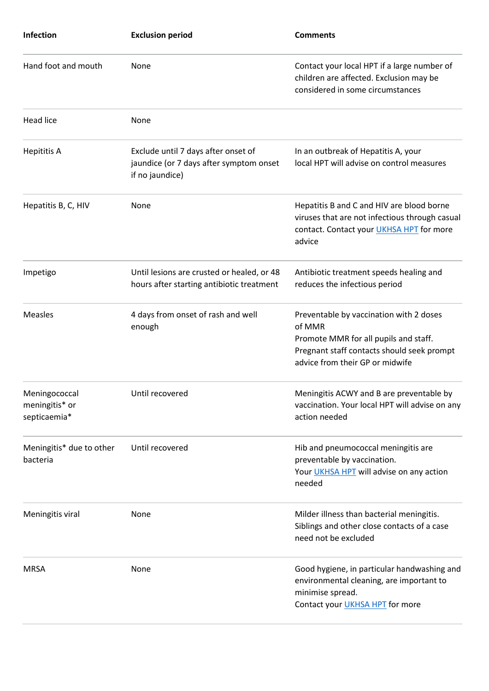| <b>Infection</b>                                | <b>Exclusion period</b>                                                                           | <b>Comments</b>                                                                                                                                                             |
|-------------------------------------------------|---------------------------------------------------------------------------------------------------|-----------------------------------------------------------------------------------------------------------------------------------------------------------------------------|
| Hand foot and mouth                             | None                                                                                              | Contact your local HPT if a large number of<br>children are affected. Exclusion may be<br>considered in some circumstances                                                  |
| Head lice                                       | None                                                                                              |                                                                                                                                                                             |
| <b>Hepititis A</b>                              | Exclude until 7 days after onset of<br>jaundice (or 7 days after symptom onset<br>if no jaundice) | In an outbreak of Hepatitis A, your<br>local HPT will advise on control measures                                                                                            |
| Hepatitis B, C, HIV                             | None                                                                                              | Hepatitis B and C and HIV are blood borne<br>viruses that are not infectious through casual<br>contact. Contact your <b>UKHSA HPT</b> for more<br>advice                    |
| Impetigo                                        | Until lesions are crusted or healed, or 48<br>hours after starting antibiotic treatment           | Antibiotic treatment speeds healing and<br>reduces the infectious period                                                                                                    |
| <b>Measles</b>                                  | 4 days from onset of rash and well<br>enough                                                      | Preventable by vaccination with 2 doses<br>of MMR<br>Promote MMR for all pupils and staff.<br>Pregnant staff contacts should seek prompt<br>advice from their GP or midwife |
| Meningococcal<br>meningitis* or<br>septicaemia* | Until recovered                                                                                   | Meningitis ACWY and B are preventable by<br>vaccination. Your local HPT will advise on any<br>action needed                                                                 |
| Meningitis* due to other<br>bacteria            | Until recovered                                                                                   | Hib and pneumococcal meningitis are<br>preventable by vaccination.<br>Your <i>UKHSA HPT</i> will advise on any action<br>needed                                             |
| Meningitis viral                                | None                                                                                              | Milder illness than bacterial meningitis.<br>Siblings and other close contacts of a case<br>need not be excluded                                                            |
| <b>MRSA</b>                                     | None                                                                                              | Good hygiene, in particular handwashing and<br>environmental cleaning, are important to<br>minimise spread.<br>Contact your <b>UKHSA HPT</b> for more                       |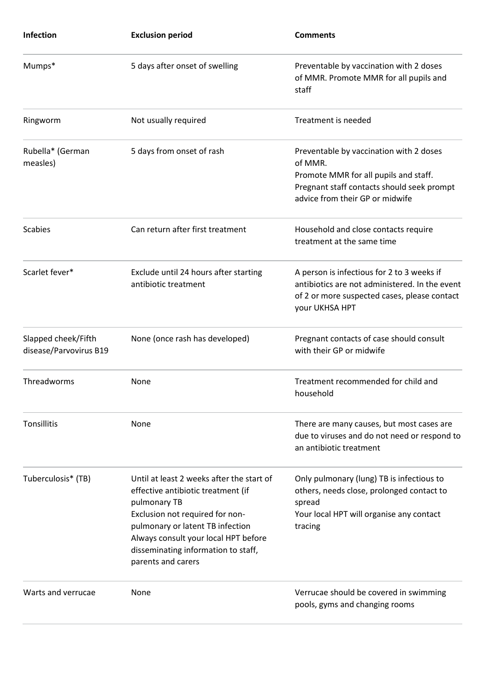| <b>Infection</b>                              | <b>Exclusion period</b>                                                                                                                                                                                                                                                     | <b>Comments</b>                                                                                                                                                              |
|-----------------------------------------------|-----------------------------------------------------------------------------------------------------------------------------------------------------------------------------------------------------------------------------------------------------------------------------|------------------------------------------------------------------------------------------------------------------------------------------------------------------------------|
| Mumps*                                        | 5 days after onset of swelling                                                                                                                                                                                                                                              | Preventable by vaccination with 2 doses<br>of MMR. Promote MMR for all pupils and<br>staff                                                                                   |
| Ringworm                                      | Not usually required                                                                                                                                                                                                                                                        | Treatment is needed                                                                                                                                                          |
| Rubella* (German<br>measles)                  | 5 days from onset of rash                                                                                                                                                                                                                                                   | Preventable by vaccination with 2 doses<br>of MMR.<br>Promote MMR for all pupils and staff.<br>Pregnant staff contacts should seek prompt<br>advice from their GP or midwife |
| <b>Scabies</b>                                | Can return after first treatment                                                                                                                                                                                                                                            | Household and close contacts require<br>treatment at the same time                                                                                                           |
| Scarlet fever*                                | Exclude until 24 hours after starting<br>antibiotic treatment                                                                                                                                                                                                               | A person is infectious for 2 to 3 weeks if<br>antibiotics are not administered. In the event<br>of 2 or more suspected cases, please contact<br>your UKHSA HPT               |
| Slapped cheek/Fifth<br>disease/Parvovirus B19 | None (once rash has developed)                                                                                                                                                                                                                                              | Pregnant contacts of case should consult<br>with their GP or midwife                                                                                                         |
| Threadworms                                   | None                                                                                                                                                                                                                                                                        | Treatment recommended for child and<br>household                                                                                                                             |
| Tonsillitis                                   | None                                                                                                                                                                                                                                                                        | There are many causes, but most cases are<br>due to viruses and do not need or respond to<br>an antibiotic treatment                                                         |
| Tuberculosis* (TB)                            | Until at least 2 weeks after the start of<br>effective antibiotic treatment (if<br>pulmonary TB<br>Exclusion not required for non-<br>pulmonary or latent TB infection<br>Always consult your local HPT before<br>disseminating information to staff,<br>parents and carers | Only pulmonary (lung) TB is infectious to<br>others, needs close, prolonged contact to<br>spread<br>Your local HPT will organise any contact<br>tracing                      |
| Warts and verrucae                            | None                                                                                                                                                                                                                                                                        | Verrucae should be covered in swimming<br>pools, gyms and changing rooms                                                                                                     |